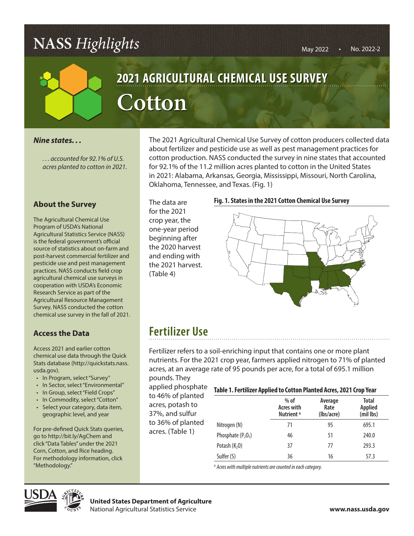# **NASS** *Highlights*



# **2021 AGRICULTURAL CHEMICAL USE SURVEY** AGRICULTURAL  $Cotton$

#### *Nine states. . .*

*. . . accounted for 92.1% of U.S. acres planted to cotton in 2021.*

### **About the Survey**

The Agricultural Chemical Use Program of USDA's National Agricultural Statistics Service (NASS) is the federal government's official source of statistics about on-farm and post-harvest commercial fertilizer and pesticide use and pest management practices. NASS conducts field crop agricultural chemical use surveys in cooperation with USDA's Economic Research Service as part of the Agricultural Resource Management Survey. NASS conducted the cotton chemical use survey in the fall of 2021.

## **Access the Data**

Access 2021 and earlier cotton chemical use data through the Quick Stats database (http://quickstats.nass. usda.gov).

- In Program, select "Survey"
- In Sector, select "Environmental"
- In Group, select "Field Crops"
- In Commodity, select "Cotton"
- Select your category, data item, geographic level, and year

For pre-defined Quick Stats queries, go to http://bit.ly/AgChem and click "Data Tables" under the 2021 Corn, Cotton, and Rice heading. For methodology information, click "Methodology."

The 2021 Agricultural Chemical Use Survey of cotton producers collected data about fertilizer and pesticide use as well as pest management practices for cotton production. NASS conducted the survey in nine states that accounted for 92.1% of the 11.2 million acres planted to cotton in the United States 1.2021. in 2021: Alabama, Arkansas, Georgia, Mississippi, Missouri, North Carolina, **CONFIDENTIES IN A CONFIDENTIAL USE OF PLANS**<br>
in 2021: Alabama, Arkansas, Georgia, Mis<br>
Oklahoma, Tennessee, and Texas. (Fig. 1)

> The data are for the 2021 crop year, the one-year period beginning after the 2020 harvest and ending with the 2021 harvest. (Table 4)

#### **Fig. 1. States in the 2021 Cotton Chemical Use Survey**



## **Fertilizer Use**

Fertilizer refers to a soil-enriching input that contains one or more plant nutrients. For the 2021 crop year, farmers applied nitrogen to 71% of planted acres, at an average rate of 95 pounds per acre, for a total of 695.1 million

pounds. They applied phosphate to 46% of planted acres, potash to 37%, and sulfur to 36% of planted acres. (Table 1)

#### **Table 1. Fertilizer Applied to Cotton Planted Acres, 2021 Crop Year**

|                      | $%$ of<br><b>Acres with</b><br>Nutrient <sup>a</sup> | Average<br>Rate<br>(lbs/acre) | <b>Total</b><br><b>Applied</b><br>(mil lbs) |
|----------------------|------------------------------------------------------|-------------------------------|---------------------------------------------|
| Nitrogen (N)         | 71                                                   | 95                            | 695.1                                       |
| Phosphate $(P_2O_5)$ | 46                                                   | 51                            | 240.0                                       |
| Potash $(K2O)$       | 37                                                   | 77                            | 293.3                                       |
| Sulfer (S)           | 36                                                   | 16                            | 57.3                                        |

*a Acres with multiple nutrients are counted in each category.*